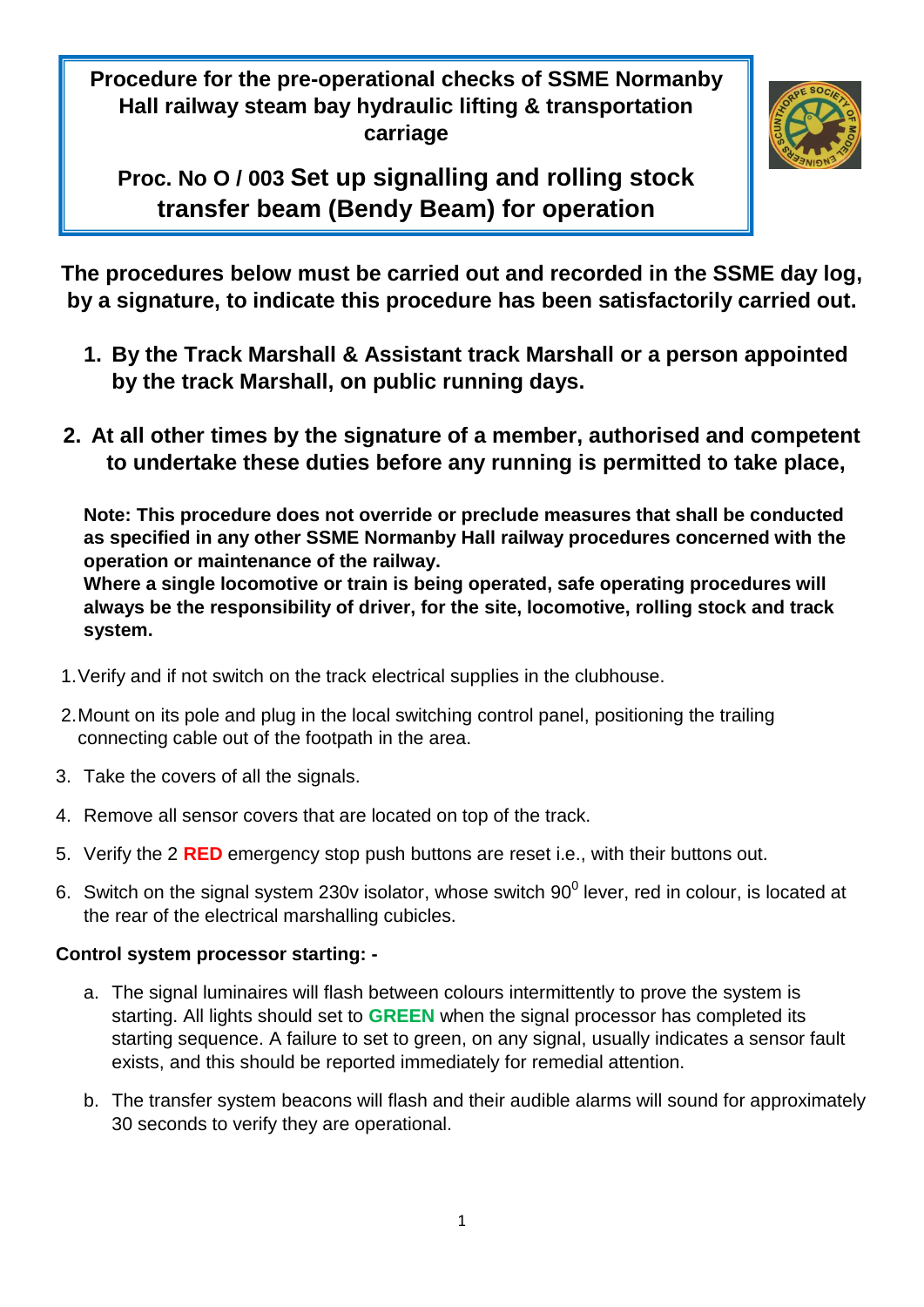**Procedure for the pre-operational checks of SSME Normanby Hall railway steam bay hydraulic lifting & transportation carriage**



**Proc. No O / 003 Set up signalling and rolling stock transfer beam (Bendy Beam) for operation** 

**The procedures below must be carried out and recorded in the SSME day log, by a signature, to indicate this procedure has been satisfactorily carried out.**

- **1. By the Track Marshall & Assistant track Marshall or a person appointed by the track Marshall, on public running days.**
- **2. At all other times by the signature of a member, authorised and competent to undertake these duties before any running is permitted to take place,**

**Note: This procedure does not override or preclude measures that shall be conducted as specified in any other SSME Normanby Hall railway procedures concerned with the operation or maintenance of the railway.**

**Where a single locomotive or train is being operated, safe operating procedures will always be the responsibility of driver, for the site, locomotive, rolling stock and track system.**

- 1.Verify and if not switch on the track electrical supplies in the clubhouse.
- 2.Mount on its pole and plug in the local switching control panel, positioning the trailing connecting cable out of the footpath in the area.
- 3. Take the covers of all the signals.
- 4. Remove all sensor covers that are located on top of the track.
- 5. Verify the 2 **RED** emergency stop push buttons are reset i.e., with their buttons out.
- 6. Switch on the signal system 230v isolator, whose switch  $90^0$  lever, red in colour, is located at the rear of the electrical marshalling cubicles.

### **Control system processor starting: -**

- a. The signal luminaires will flash between colours intermittently to prove the system is starting. All lights should set to **GREEN** when the signal processor has completed its starting sequence. A failure to set to green, on any signal, usually indicates a sensor fault exists, and this should be reported immediately for remedial attention.
- b. The transfer system beacons will flash and their audible alarms will sound for approximately 30 seconds to verify they are operational.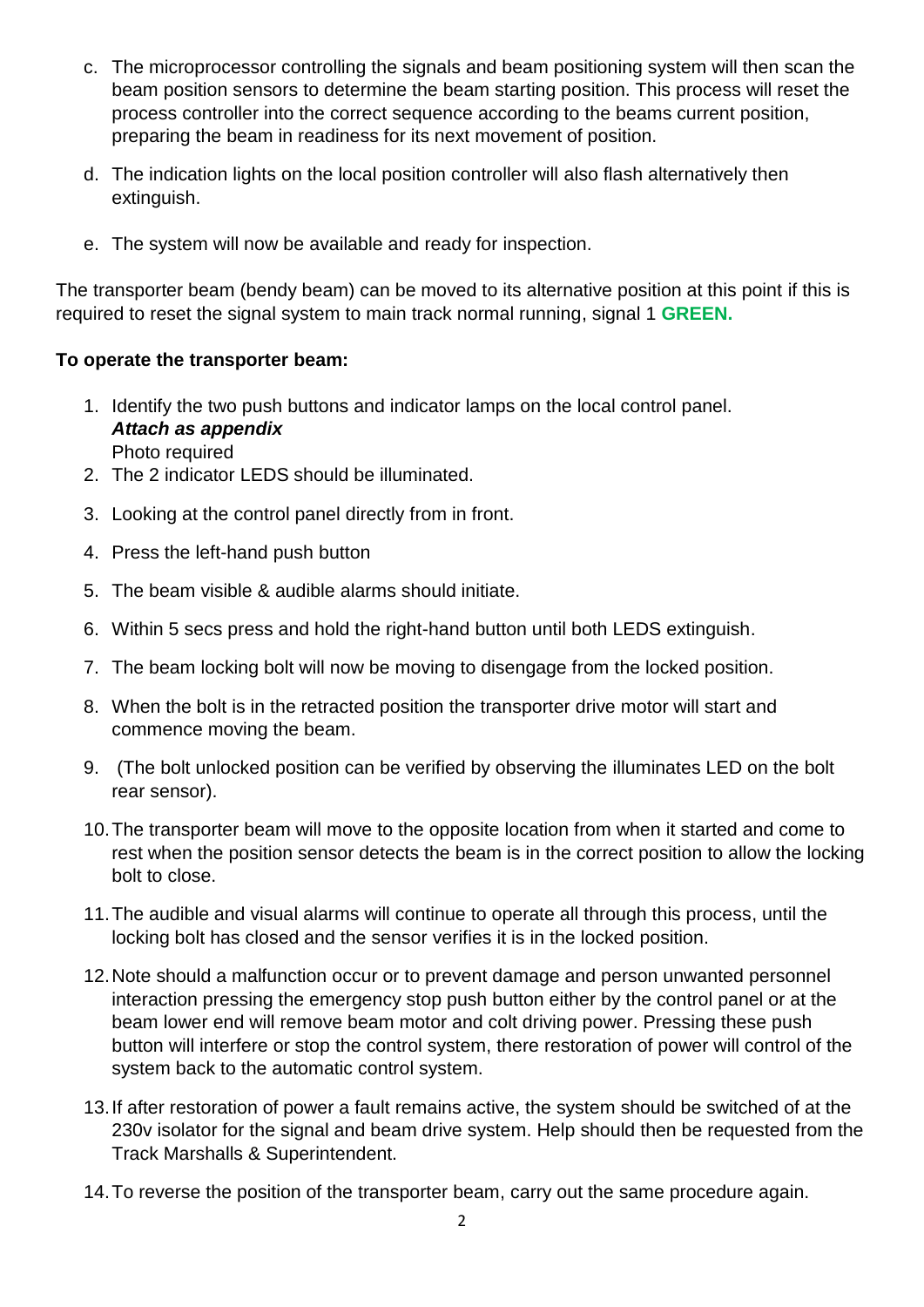- c. The microprocessor controlling the signals and beam positioning system will then scan the beam position sensors to determine the beam starting position. This process will reset the process controller into the correct sequence according to the beams current position, preparing the beam in readiness for its next movement of position.
- d. The indication lights on the local position controller will also flash alternatively then extinguish.
- e. The system will now be available and ready for inspection.

The transporter beam (bendy beam) can be moved to its alternative position at this point if this is required to reset the signal system to main track normal running, signal 1 **GREEN.**

# **To operate the transporter beam:**

- 1. Identify the two push buttons and indicator lamps on the local control panel. *Attach as appendix* Photo required
- 2. The 2 indicator LEDS should be illuminated.
- 3. Looking at the control panel directly from in front.
- 4. Press the left-hand push button
- 5. The beam visible & audible alarms should initiate.
- 6. Within 5 secs press and hold the right-hand button until both LEDS extinguish.
- 7. The beam locking bolt will now be moving to disengage from the locked position.
- 8. When the bolt is in the retracted position the transporter drive motor will start and commence moving the beam.
- 9. (The bolt unlocked position can be verified by observing the illuminates LED on the bolt rear sensor).
- 10.The transporter beam will move to the opposite location from when it started and come to rest when the position sensor detects the beam is in the correct position to allow the locking bolt to close.
- 11.The audible and visual alarms will continue to operate all through this process, until the locking bolt has closed and the sensor verifies it is in the locked position.
- 12.Note should a malfunction occur or to prevent damage and person unwanted personnel interaction pressing the emergency stop push button either by the control panel or at the beam lower end will remove beam motor and colt driving power. Pressing these push button will interfere or stop the control system, there restoration of power will control of the system back to the automatic control system.
- 13.If after restoration of power a fault remains active, the system should be switched of at the 230v isolator for the signal and beam drive system. Help should then be requested from the Track Marshalls & Superintendent.
- 14.To reverse the position of the transporter beam, carry out the same procedure again.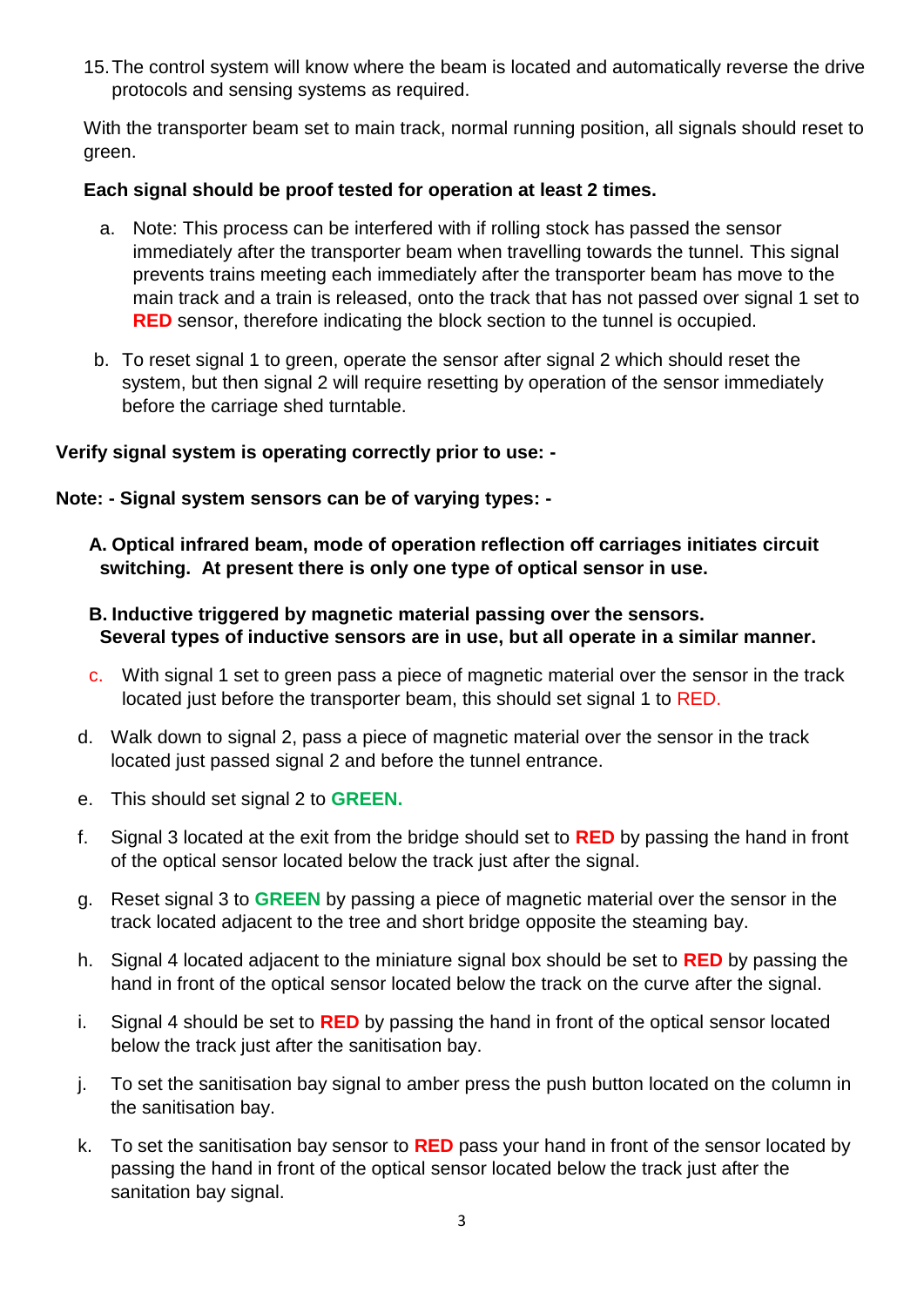15.The control system will know where the beam is located and automatically reverse the drive protocols and sensing systems as required.

With the transporter beam set to main track, normal running position, all signals should reset to green.

### **Each signal should be proof tested for operation at least 2 times.**

- a. Note: This process can be interfered with if rolling stock has passed the sensor immediately after the transporter beam when travelling towards the tunnel. This signal prevents trains meeting each immediately after the transporter beam has move to the main track and a train is released, onto the track that has not passed over signal 1 set to **RED** sensor, therefore indicating the block section to the tunnel is occupied.
- b. To reset signal 1 to green, operate the sensor after signal 2 which should reset the system, but then signal 2 will require resetting by operation of the sensor immediately before the carriage shed turntable.

# **Verify signal system is operating correctly prior to use: -**

**Note: - Signal system sensors can be of varying types: -**

**A. Optical infrared beam, mode of operation reflection off carriages initiates circuit switching. At present there is only one type of optical sensor in use.**

# **B. Inductive triggered by magnetic material passing over the sensors. Several types of inductive sensors are in use, but all operate in a similar manner.**

- c. With signal 1 set to green pass a piece of magnetic material over the sensor in the track located just before the transporter beam, this should set signal 1 to RED.
- d. Walk down to signal 2, pass a piece of magnetic material over the sensor in the track located just passed signal 2 and before the tunnel entrance.
- e. This should set signal 2 to **GREEN.**
- f. Signal 3 located at the exit from the bridge should set to **RED** by passing the hand in front of the optical sensor located below the track just after the signal.
- g. Reset signal 3 to **GREEN** by passing a piece of magnetic material over the sensor in the track located adjacent to the tree and short bridge opposite the steaming bay.
- h. Signal 4 located adjacent to the miniature signal box should be set to **RED** by passing the hand in front of the optical sensor located below the track on the curve after the signal.
- i. Signal 4 should be set to **RED** by passing the hand in front of the optical sensor located below the track just after the sanitisation bay.
- j. To set the sanitisation bay signal to amber press the push button located on the column in the sanitisation bay.
- k. To set the sanitisation bay sensor to **RED** pass your hand in front of the sensor located by passing the hand in front of the optical sensor located below the track just after the sanitation bay signal.